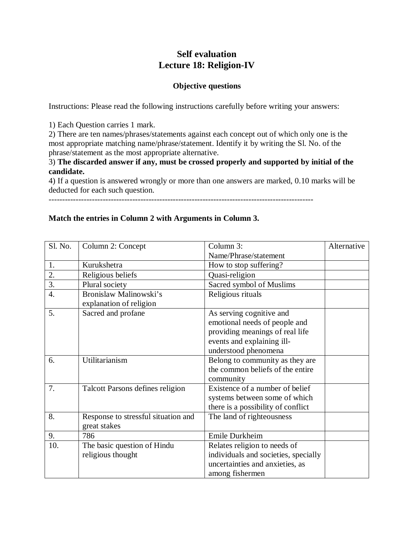# **Self evaluation Lecture 18: Religion-IV**

## **Objective questions**

Instructions: Please read the following instructions carefully before writing your answers:

1) Each Question carries 1 mark.

2) There are ten names/phrases/statements against each concept out of which only one is the most appropriate matching name/phrase/statement. Identify it by writing the Sl. No. of the phrase/statement as the most appropriate alternative.

## 3) **The discarded answer if any, must be crossed properly and supported by initial of the candidate.**

4) If a question is answered wrongly or more than one answers are marked, 0.10 marks will be deducted for each such question.

--------------------------------------------------------------------------------------------------

## **Match the entries in Column 2 with Arguments in Column 3.**

| Sl. No.          | Column 2: Concept                                   | Column 3:                                                                                                                                          | Alternative |
|------------------|-----------------------------------------------------|----------------------------------------------------------------------------------------------------------------------------------------------------|-------------|
|                  |                                                     | Name/Phrase/statement                                                                                                                              |             |
| 1.               | Kurukshetra                                         | How to stop suffering?                                                                                                                             |             |
| 2.               | Religious beliefs                                   | Quasi-religion                                                                                                                                     |             |
| $\overline{3}$ . | Plural society                                      | Sacred symbol of Muslims                                                                                                                           |             |
| $\overline{4}$ . | Bronislaw Malinowski's<br>explanation of religion   | Religious rituals                                                                                                                                  |             |
| 5.               | Sacred and profane                                  | As serving cognitive and<br>emotional needs of people and<br>providing meanings of real life<br>events and explaining ill-<br>understood phenomena |             |
| 6.               | Utilitarianism                                      | Belong to community as they are<br>the common beliefs of the entire<br>community                                                                   |             |
| 7.               | Talcott Parsons defines religion                    | Existence of a number of belief<br>systems between some of which<br>there is a possibility of conflict                                             |             |
| 8.               | Response to stressful situation and<br>great stakes | The land of righteousness                                                                                                                          |             |
| 9.               | 786                                                 | Emile Durkheim                                                                                                                                     |             |
| 10.              | The basic question of Hindu<br>religious thought    | Relates religion to needs of<br>individuals and societies, specially<br>uncertainties and anxieties, as<br>among fishermen                         |             |